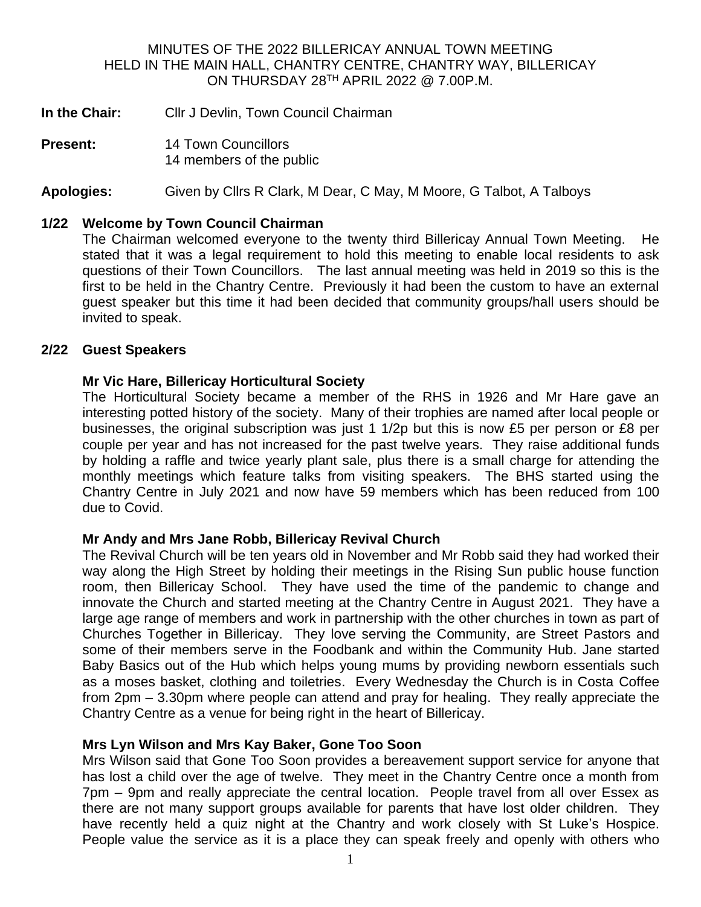#### MINUTES OF THE 2022 BILLERICAY ANNUAL TOWN MEETING HELD IN THE MAIN HALL, CHANTRY CENTRE, CHANTRY WAY, BILLERICAY ON THURSDAY 28<sup>TH</sup> APRIL 2022  $@$  7.00P.M.

- **In the Chair:** Cllr J Devlin, Town Council Chairman
- **Present:** 14 Town Councillors 14 members of the public

**Apologies:** Given by Cllrs R Clark, M Dear, C May, M Moore, G Talbot, A Talboys

#### **1/22 Welcome by Town Council Chairman**

The Chairman welcomed everyone to the twenty third Billericay Annual Town Meeting. He stated that it was a legal requirement to hold this meeting to enable local residents to ask questions of their Town Councillors. The last annual meeting was held in 2019 so this is the first to be held in the Chantry Centre. Previously it had been the custom to have an external guest speaker but this time it had been decided that community groups/hall users should be invited to speak.

#### **2/22 Guest Speakers**

#### **Mr Vic Hare, Billericay Horticultural Society**

The Horticultural Society became a member of the RHS in 1926 and Mr Hare gave an interesting potted history of the society. Many of their trophies are named after local people or businesses, the original subscription was just 1 1/2p but this is now £5 per person or £8 per couple per year and has not increased for the past twelve years. They raise additional funds by holding a raffle and twice yearly plant sale, plus there is a small charge for attending the monthly meetings which feature talks from visiting speakers. The BHS started using the Chantry Centre in July 2021 and now have 59 members which has been reduced from 100 due to Covid.

#### **Mr Andy and Mrs Jane Robb, Billericay Revival Church**

The Revival Church will be ten years old in November and Mr Robb said they had worked their way along the High Street by holding their meetings in the Rising Sun public house function room, then Billericay School. They have used the time of the pandemic to change and innovate the Church and started meeting at the Chantry Centre in August 2021. They have a large age range of members and work in partnership with the other churches in town as part of Churches Together in Billericay. They love serving the Community, are Street Pastors and some of their members serve in the Foodbank and within the Community Hub. Jane started Baby Basics out of the Hub which helps young mums by providing newborn essentials such as a moses basket, clothing and toiletries. Every Wednesday the Church is in Costa Coffee from 2pm – 3.30pm where people can attend and pray for healing. They really appreciate the Chantry Centre as a venue for being right in the heart of Billericay.

#### **Mrs Lyn Wilson and Mrs Kay Baker, Gone Too Soon**

Mrs Wilson said that Gone Too Soon provides a bereavement support service for anyone that has lost a child over the age of twelve. They meet in the Chantry Centre once a month from 7pm – 9pm and really appreciate the central location. People travel from all over Essex as there are not many support groups available for parents that have lost older children. They have recently held a quiz night at the Chantry and work closely with St Luke's Hospice. People value the service as it is a place they can speak freely and openly with others who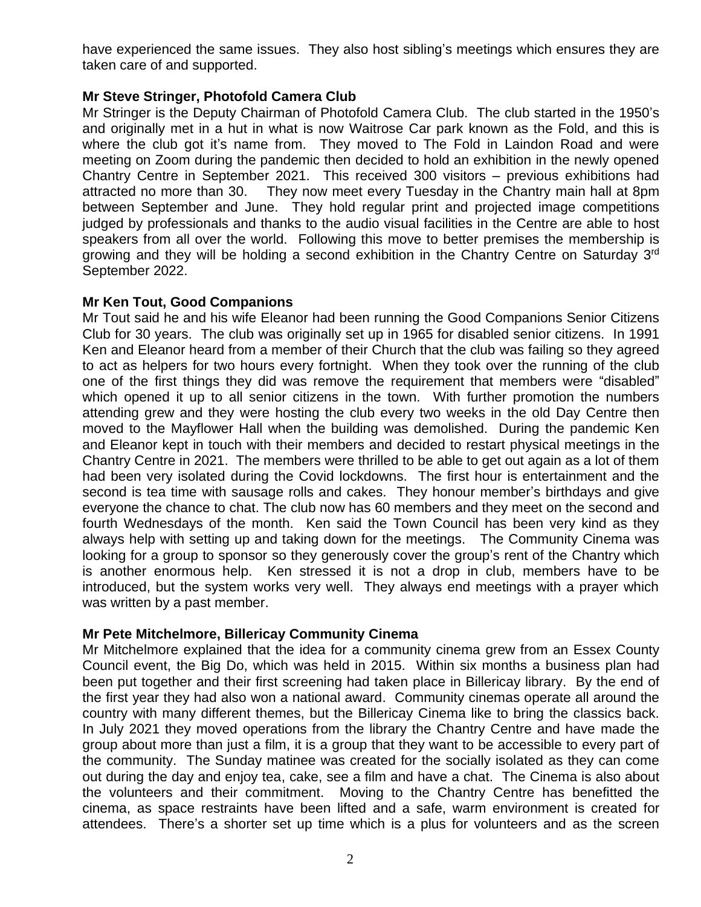have experienced the same issues. They also host sibling's meetings which ensures they are taken care of and supported.

# **Mr Steve Stringer, Photofold Camera Club**

Mr Stringer is the Deputy Chairman of Photofold Camera Club. The club started in the 1950's and originally met in a hut in what is now Waitrose Car park known as the Fold, and this is where the club got it's name from. They moved to The Fold in Laindon Road and were meeting on Zoom during the pandemic then decided to hold an exhibition in the newly opened Chantry Centre in September 2021. This received 300 visitors – previous exhibitions had attracted no more than 30. They now meet every Tuesday in the Chantry main hall at 8pm between September and June. They hold regular print and projected image competitions judged by professionals and thanks to the audio visual facilities in the Centre are able to host speakers from all over the world. Following this move to better premises the membership is growing and they will be holding a second exhibition in the Chantry Centre on Saturday 3<sup>rd</sup> September 2022.

# **Mr Ken Tout, Good Companions**

Mr Tout said he and his wife Eleanor had been running the Good Companions Senior Citizens Club for 30 years. The club was originally set up in 1965 for disabled senior citizens. In 1991 Ken and Eleanor heard from a member of their Church that the club was failing so they agreed to act as helpers for two hours every fortnight. When they took over the running of the club one of the first things they did was remove the requirement that members were "disabled" which opened it up to all senior citizens in the town. With further promotion the numbers attending grew and they were hosting the club every two weeks in the old Day Centre then moved to the Mayflower Hall when the building was demolished. During the pandemic Ken and Eleanor kept in touch with their members and decided to restart physical meetings in the Chantry Centre in 2021. The members were thrilled to be able to get out again as a lot of them had been very isolated during the Covid lockdowns. The first hour is entertainment and the second is tea time with sausage rolls and cakes. They honour member's birthdays and give everyone the chance to chat. The club now has 60 members and they meet on the second and fourth Wednesdays of the month. Ken said the Town Council has been very kind as they always help with setting up and taking down for the meetings. The Community Cinema was looking for a group to sponsor so they generously cover the group's rent of the Chantry which is another enormous help. Ken stressed it is not a drop in club, members have to be introduced, but the system works very well. They always end meetings with a prayer which was written by a past member.

# **Mr Pete Mitchelmore, Billericay Community Cinema**

Mr Mitchelmore explained that the idea for a community cinema grew from an Essex County Council event, the Big Do, which was held in 2015. Within six months a business plan had been put together and their first screening had taken place in Billericay library. By the end of the first year they had also won a national award. Community cinemas operate all around the country with many different themes, but the Billericay Cinema like to bring the classics back. In July 2021 they moved operations from the library the Chantry Centre and have made the group about more than just a film, it is a group that they want to be accessible to every part of the community. The Sunday matinee was created for the socially isolated as they can come out during the day and enjoy tea, cake, see a film and have a chat. The Cinema is also about the volunteers and their commitment. Moving to the Chantry Centre has benefitted the cinema, as space restraints have been lifted and a safe, warm environment is created for attendees. There's a shorter set up time which is a plus for volunteers and as the screen